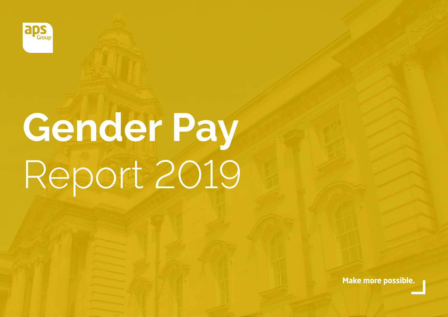

# **Gender Pay** Report 2019

**Make more possible.**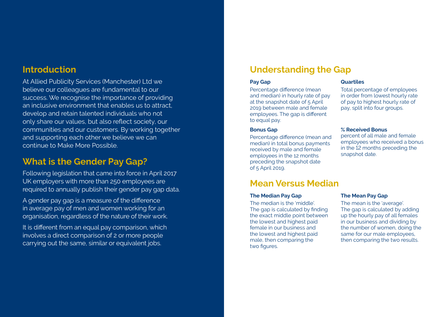## **Introduction**

At Allied Publicity Services (Manchester) Ltd we believe our colleagues are fundamental to our success. We recognise the importance of providing an inclusive environment that enables us to attract, develop and retain talented individuals who not only share our values, but also reflect society, our communities and our customers. By working together and supporting each other we believe we can continue to Make More Possible.

# **What is the Gender Pay Gap?**

Following legislation that came into force in April 2017 UK employers with more than 250 employees are required to annually publish their gender pay gap data.

A gender pay gap is a measure of the difference in average pay of men and women working for an organisation, regardless of the nature of their work.

It is different from an equal pay comparison, which involves a direct comparison of 2 or more people carrying out the same, similar or equivalent jobs.

# **Understanding the Gap**

## **Pay Gap**

Percentage difference (mean and median) in hourly rate of pay at the snapshot date of 5 April 2019 between male and female employees. The gap is different to equal pay.

#### **Bonus Gap**

Percentage difference (mean and median) in total bonus payments received by male and female employees in the 12 months preceding the snapshot date of 5 April 2019.

# **Mean Versus Median**

#### **The Median Pay Gap**

The median is the 'middle'. The gap is calculated by finding the exact middle point between the lowest and highest paid female in our business and the lowest and highest paid male, then comparing the two figures.

## **Quartiles**

Total percentage of employees in order from lowest hourly rate of pay to highest hourly rate of pay, split into four groups.

## **% Received Bonus**

percent of all male and female employees who received a bonus in the 12 months preceding the snapshot date.

## **The Mean Pay Gap**

The mean is the 'average'. The gap is calculated by adding up the hourly pay of all females in our business and dividing by the number of women, doing the same for our male employees, then comparing the two results.